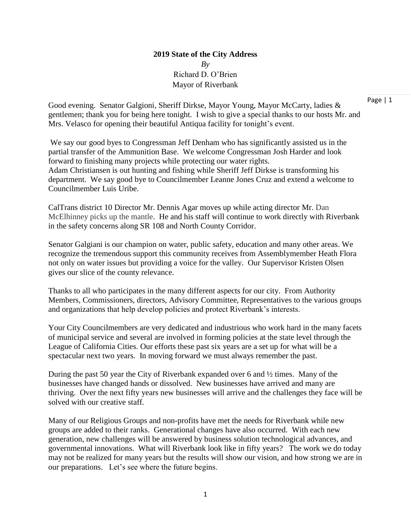## **2019 State of the City Address** *By* Richard D. O'Brien Mayor of Riverbank

Good evening. Senator Galgioni, Sheriff Dirkse, Mayor Young, Mayor McCarty, ladies & gentlemen; thank you for being here tonight. I wish to give a special thanks to our hosts Mr. and Mrs. Velasco for opening their beautiful Antiqua facility for tonight's event.

We say our good byes to Congressman Jeff Denham who has significantly assisted us in the partial transfer of the Ammunition Base. We welcome Congressman Josh Harder and look forward to finishing many projects while protecting our water rights. Adam Christiansen is out hunting and fishing while Sheriff Jeff Dirkse is transforming his department. We say good bye to Councilmember Leanne Jones Cruz and extend a welcome to Councilmember Luis Uribe.

CalTrans district 10 Director Mr. Dennis Agar moves up while acting director Mr. Dan McElhinney picks up the mantle. He and his staff will continue to work directly with Riverbank in the safety concerns along SR 108 and North County Corridor.

Senator Galgiani is our champion on water, public safety, education and many other areas. We recognize the tremendous support this community receives from Assemblymember Heath Flora not only on water issues but providing a voice for the valley. Our Supervisor Kristen Olsen gives our slice of the county relevance.

Thanks to all who participates in the many different aspects for our city. From Authority Members, Commissioners, directors, Advisory Committee, Representatives to the various groups and organizations that help develop policies and protect Riverbank's interests.

Your City Councilmembers are very dedicated and industrious who work hard in the many facets of municipal service and several are involved in forming policies at the state level through the League of California Cities. Our efforts these past six years are a set up for what will be a spectacular next two years. In moving forward we must always remember the past.

During the past 50 year the City of Riverbank expanded over 6 and ½ times. Many of the businesses have changed hands or dissolved. New businesses have arrived and many are thriving. Over the next fifty years new businesses will arrive and the challenges they face will be solved with our creative staff.

Many of our Religious Groups and non-profits have met the needs for Riverbank while new groups are added to their ranks. Generational changes have also occurred. With each new generation, new challenges will be answered by business solution technological advances, and governmental innovations. What will Riverbank look like in fifty years? The work we do today may not be realized for many years but the results will show our vision, and how strong we are in our preparations. Let's see where the future begins.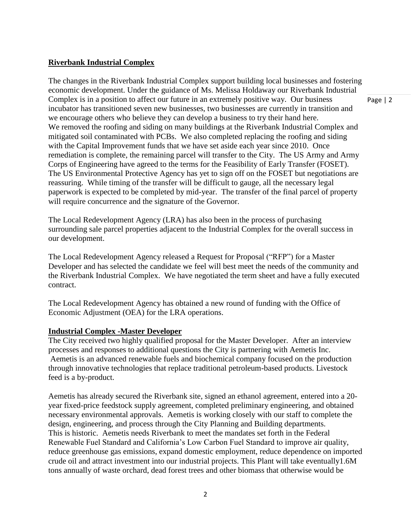## **Riverbank Industrial Complex**

The changes in the Riverbank Industrial Complex support building local businesses and fostering economic development. Under the guidance of Ms. Melissa Holdaway our Riverbank Industrial Complex is in a position to affect our future in an extremely positive way. Our business incubator has transitioned seven new businesses, two businesses are currently in transition and we encourage others who believe they can develop a business to try their hand here. We removed the roofing and siding on many buildings at the Riverbank Industrial Complex and mitigated soil contaminated with PCBs. We also completed replacing the roofing and siding with the Capital Improvement funds that we have set aside each year since 2010. Once remediation is complete, the remaining parcel will transfer to the City. The US Army and Army Corps of Engineering have agreed to the terms for the Feasibility of Early Transfer (FOSET). The US Environmental Protective Agency has yet to sign off on the FOSET but negotiations are reassuring. While timing of the transfer will be difficult to gauge, all the necessary legal paperwork is expected to be completed by mid-year. The transfer of the final parcel of property will require concurrence and the signature of the Governor.

The Local Redevelopment Agency (LRA) has also been in the process of purchasing surrounding sale parcel properties adjacent to the Industrial Complex for the overall success in our development.

The Local Redevelopment Agency released a Request for Proposal ("RFP") for a Master Developer and has selected the candidate we feel will best meet the needs of the community and the Riverbank Industrial Complex. We have negotiated the term sheet and have a fully executed contract.

The Local Redevelopment Agency has obtained a new round of funding with the Office of Economic Adjustment (OEA) for the LRA operations.

## **Industrial Complex -Master Developer**

The City received two highly qualified proposal for the Master Developer. After an interview processes and responses to additional questions the City is partnering with Aemetis Inc. Aemetis is an advanced renewable fuels and biochemical company focused on the production through innovative technologies that replace traditional petroleum-based products. Livestock feed is a by-product.

Aemetis has already secured the Riverbank site, signed an ethanol agreement, entered into a 20 year fixed-price feedstock supply agreement, completed preliminary engineering, and obtained necessary environmental approvals. Aemetis is working closely with our staff to complete the design, engineering, and process through the City Planning and Building departments. This is historic. Aemetis needs Riverbank to meet the mandates set forth in the Federal Renewable Fuel Standard and California's Low Carbon Fuel Standard to improve air quality, reduce greenhouse gas emissions, expand domestic employment, reduce dependence on imported crude oil and attract investment into our industrial projects. This Plant will take eventually1.6M tons annually of waste orchard, dead forest trees and other biomass that otherwise would be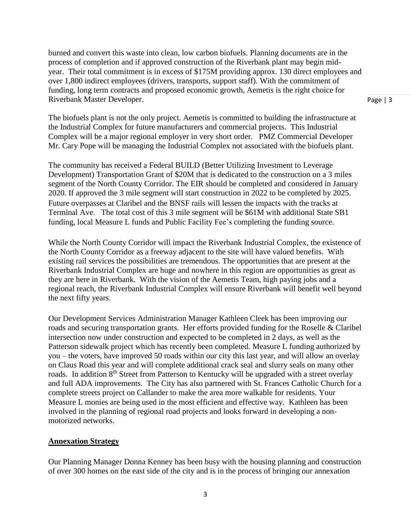burned and convert this waste into clean, low carbon biofuels. Planning documents are in the process of completion and if approved construction of the Riverbank plant may begin midyear. Their total commitment is in excess of \$175M providing approx. 130 direct employees and over 1,800 indirect employees (drivers, transports, support staff). With the commitment of funding, long term contracts and proposed economic growth, Aemetis is the right choice for Riverbank Master Developer.

Page | 3

The biofuels plant is not the only project. Aemetis is committed to building the infrastructure at the Industrial Complex for future manufacturers and commercial projects. This Industrial Complex will be a major regional employer in very short order. PMZ Commercial Developer Mr. Cary Pope will be managing the Industrial Complex not associated with the biofuels plant.

The community has received a Federal BUILD (Better Utilizing Investment to Leverage Development) Transportation Grant of \$20M that is dedicated to the construction on a 3 miles segment of the North County Corridor. The EIR should be completed and considered in January 2020. If approved the 3 mile segment will start construction in 2022 to be completed by 2025. Future overpasses at Claribel and the BNSF rails will lessen the impacts with the tracks at Terminal Ave. The total cost of this 3 mile segment will be \$61M with additional State SB1 funding, local Measure L funds and Public Facility Fee's completing the funding source.

While the North County Corridor will impact the Riverbank Industrial Complex, the existence of the North County Corridor as a freeway adjacent to the site will have valued benefits. With existing rail services the possibilities are tremendous. The opportunities that are present at the Riverbank Industrial Complex are huge and nowhere in this region are opportunities as great as they are here in Riverbank. With the vision of the Aemetis Team, high paying jobs and a regional reach, the Riverbank Industrial Complex will ensure Riverbank will benefit well beyond the next fifty years.

Our Development Services Administration Manager Kathleen Cleek has been improving our roads and securing transportation grants. Her efforts provided funding for the Roselle & Claribel intersection now under construction and expected to be completed in 2 days, as well as the Patterson sidewalk project which has recently been completed. Measure L funding authorized by you – the voters, have improved 50 roads within our city this last year, and will allow an overlay on Claus Road this year and will complete additional crack seal and slurry seals on many other roads. In addition 8<sup>th</sup> Street from Patterson to Kentucky will be upgraded with a street overlay and full ADA improvements. The City has also partnered with St. Frances Catholic Church for a complete streets project on Callander to make the area more walkable for residents. Your Measure L monies are being used in the most efficient and effective way. Kathleen has been involved in the planning of regional road projects and looks forward in developing a nonmotorized networks.

#### **Annexation Strategy**

Our Planning Manager Donna Kenney has been busy with the housing planning and construction of over 300 homes on the east side of the city and is in the process of bringing our annexation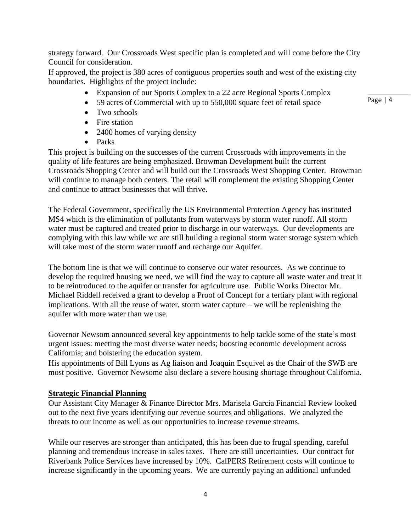strategy forward. Our Crossroads West specific plan is completed and will come before the City Council for consideration.

If approved, the project is 380 acres of contiguous properties south and west of the existing city boundaries. Highlights of the project include:

- Expansion of our Sports Complex to a 22 acre Regional Sports Complex
- 59 acres of Commercial with up to 550,000 square feet of retail space
- Two schools
- Fire station
- 2400 homes of varying density
- Parks

This project is building on the successes of the current Crossroads with improvements in the quality of life features are being emphasized. Browman Development built the current Crossroads Shopping Center and will build out the Crossroads West Shopping Center. Browman will continue to manage both centers. The retail will complement the existing Shopping Center and continue to attract businesses that will thrive.

The Federal Government, specifically the US Environmental Protection Agency has instituted MS4 which is the elimination of pollutants from waterways by storm water runoff. All storm water must be captured and treated prior to discharge in our waterways. Our developments are complying with this law while we are still building a regional storm water storage system which will take most of the storm water runoff and recharge our Aquifer.

The bottom line is that we will continue to conserve our water resources. As we continue to develop the required housing we need, we will find the way to capture all waste water and treat it to be reintroduced to the aquifer or transfer for agriculture use. Public Works Director Mr. Michael Riddell received a grant to develop a Proof of Concept for a tertiary plant with regional implications. With all the reuse of water, storm water capture – we will be replenishing the aquifer with more water than we use.

Governor Newsom announced several key appointments to help tackle some of the state's most urgent issues: meeting the most diverse water needs; boosting economic development across California; and bolstering the education system.

His appointments of Bill Lyons as Ag liaison and Joaquin Esquivel as the Chair of the SWB are most positive. Governor Newsome also declare a severe housing shortage throughout California.

## **Strategic Financial Planning**

Our Assistant City Manager & Finance Director Mrs. Marisela Garcia Financial Review looked out to the next five years identifying our revenue sources and obligations. We analyzed the threats to our income as well as our opportunities to increase revenue streams.

While our reserves are stronger than anticipated, this has been due to frugal spending, careful planning and tremendous increase in sales taxes. There are still uncertainties. Our contract for Riverbank Police Services have increased by 10%. CalPERS Retirement costs will continue to increase significantly in the upcoming years. We are currently paying an additional unfunded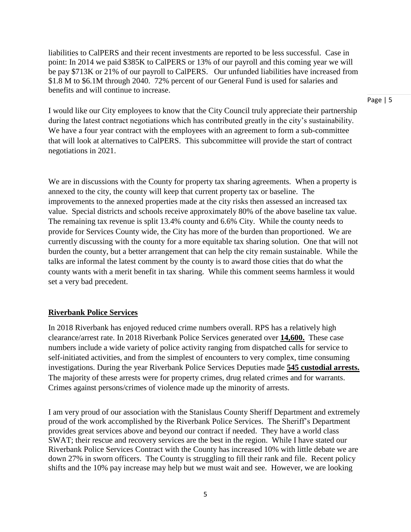liabilities to CalPERS and their recent investments are reported to be less successful. Case in point: In 2014 we paid \$385K to CalPERS or 13% of our payroll and this coming year we will be pay \$713K or 21% of our payroll to CalPERS. Our unfunded liabilities have increased from \$1.8 M to \$6.1M through 2040. 72% percent of our General Fund is used for salaries and benefits and will continue to increase.

I would like our City employees to know that the City Council truly appreciate their partnership during the latest contract negotiations which has contributed greatly in the city's sustainability. We have a four year contract with the employees with an agreement to form a sub-committee that will look at alternatives to CalPERS. This subcommittee will provide the start of contract negotiations in 2021.

We are in discussions with the County for property tax sharing agreements. When a property is annexed to the city, the county will keep that current property tax or baseline. The improvements to the annexed properties made at the city risks then assessed an increased tax value. Special districts and schools receive approximately 80% of the above baseline tax value. The remaining tax revenue is split 13.4% county and 6.6% City. While the county needs to provide for Services County wide, the City has more of the burden than proportioned. We are currently discussing with the county for a more equitable tax sharing solution. One that will not burden the county, but a better arrangement that can help the city remain sustainable. While the talks are informal the latest comment by the county is to award those cities that do what the county wants with a merit benefit in tax sharing. While this comment seems harmless it would set a very bad precedent.

## **Riverbank Police Services**

In 2018 Riverbank has enjoyed reduced crime numbers overall. RPS has a relatively high clearance/arrest rate. In 2018 Riverbank Police Services generated over **14,600.** These case numbers include a wide variety of police activity ranging from dispatched calls for service to self-initiated activities, and from the simplest of encounters to very complex, time consuming investigations. During the year Riverbank Police Services Deputies made **545 custodial arrests.** The majority of these arrests were for property crimes, drug related crimes and for warrants. Crimes against persons/crimes of violence made up the minority of arrests.

I am very proud of our association with the Stanislaus County Sheriff Department and extremely proud of the work accomplished by the Riverbank Police Services. The Sheriff's Department provides great services above and beyond our contract if needed. They have a world class SWAT; their rescue and recovery services are the best in the region. While I have stated our Riverbank Police Services Contract with the County has increased 10% with little debate we are down 27% in sworn officers. The County is struggling to fill their rank and file. Recent policy shifts and the 10% pay increase may help but we must wait and see. However, we are looking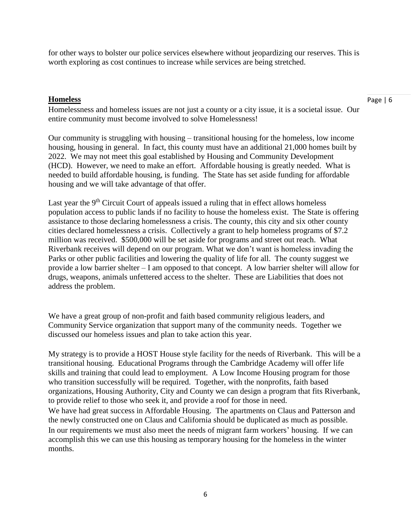for other ways to bolster our police services elsewhere without jeopardizing our reserves. This is worth exploring as cost continues to increase while services are being stretched.

#### **Homeless**

Homelessness and homeless issues are not just a county or a city issue, it is a societal issue. Our entire community must become involved to solve Homelessness!

Our community is struggling with housing – transitional housing for the homeless, low income housing, housing in general. In fact, this county must have an additional 21,000 homes built by 2022. We may not meet this goal established by Housing and Community Development (HCD). However, we need to make an effort. Affordable housing is greatly needed. What is needed to build affordable housing, is funding. The State has set aside funding for affordable housing and we will take advantage of that offer.

Last year the 9<sup>th</sup> Circuit Court of appeals issued a ruling that in effect allows homeless population access to public lands if no facility to house the homeless exist. The State is offering assistance to those declaring homelessness a crisis. The county, this city and six other county cities declared homelessness a crisis. Collectively a grant to help homeless programs of \$7.2 million was received. \$500,000 will be set aside for programs and street out reach. What Riverbank receives will depend on our program. What we don't want is homeless invading the Parks or other public facilities and lowering the quality of life for all. The county suggest we provide a low barrier shelter – I am opposed to that concept. A low barrier shelter will allow for drugs, weapons, animals unfettered access to the shelter. These are Liabilities that does not address the problem.

We have a great group of non-profit and faith based community religious leaders, and Community Service organization that support many of the community needs. Together we discussed our homeless issues and plan to take action this year.

My strategy is to provide a HOST House style facility for the needs of Riverbank. This will be a transitional housing. Educational Programs through the Cambridge Academy will offer life skills and training that could lead to employment. A Low Income Housing program for those who transition successfully will be required. Together, with the nonprofits, faith based organizations, Housing Authority, City and County we can design a program that fits Riverbank, to provide relief to those who seek it, and provide a roof for those in need.

We have had great success in Affordable Housing. The apartments on Claus and Patterson and the newly constructed one on Claus and California should be duplicated as much as possible. In our requirements we must also meet the needs of migrant farm workers' housing. If we can accomplish this we can use this housing as temporary housing for the homeless in the winter months.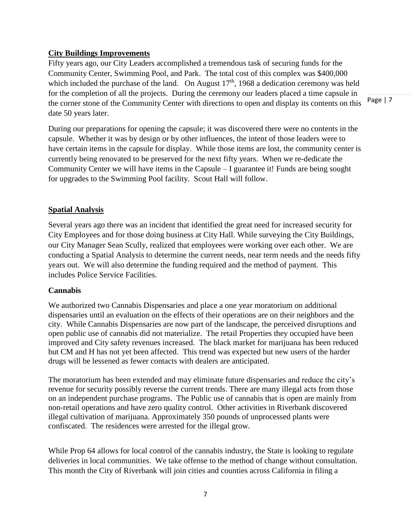## **City Buildings Improvements**

Fifty years ago, our City Leaders accomplished a tremendous task of securing funds for the Community Center, Swimming Pool, and Park. The total cost of this complex was \$400,000 which included the purchase of the land. On August  $17<sup>th</sup>$ , 1968 a dedication ceremony was held for the completion of all the projects. During the ceremony our leaders placed a time capsule in the corner stone of the Community Center with directions to open and display its contents on this date 50 years later.

During our preparations for opening the capsule; it was discovered there were no contents in the capsule. Whether it was by design or by other influences, the intent of those leaders were to have certain items in the capsule for display. While those items are lost, the community center is currently being renovated to be preserved for the next fifty years. When we re-dedicate the Community Center we will have items in the Capsule – I guarantee it! Funds are being sought for upgrades to the Swimming Pool facility. Scout Hall will follow.

## **Spatial Analysis**

Several years ago there was an incident that identified the great need for increased security for City Employees and for those doing business at City Hall. While surveying the City Buildings, our City Manager Sean Scully, realized that employees were working over each other. We are conducting a Spatial Analysis to determine the current needs, near term needs and the needs fifty years out. We will also determine the funding required and the method of payment. This includes Police Service Facilities.

## **Cannabis**

We authorized two Cannabis Dispensaries and place a one year moratorium on additional dispensaries until an evaluation on the effects of their operations are on their neighbors and the city. While Cannabis Dispensaries are now part of the landscape, the perceived disruptions and open public use of cannabis did not materialize. The retail Properties they occupied have been improved and City safety revenues increased. The black market for marijuana has been reduced but CM and H has not yet been affected. This trend was expected but new users of the harder drugs will be lessened as fewer contacts with dealers are anticipated.

The moratorium has been extended and may eliminate future dispensaries and reduce the city's revenue for security possibly reverse the current trends. There are many illegal acts from those on an independent purchase programs. The Public use of cannabis that is open are mainly from non-retail operations and have zero quality control. Other activities in Riverbank discovered illegal cultivation of marijuana. Approximately 350 pounds of unprocessed plants were confiscated. The residences were arrested for the illegal grow.

While Prop 64 allows for local control of the cannabis industry, the State is looking to regulate deliveries in local communities. We take offense to the method of change without consultation. This month the City of Riverbank will join cities and counties across California in filing a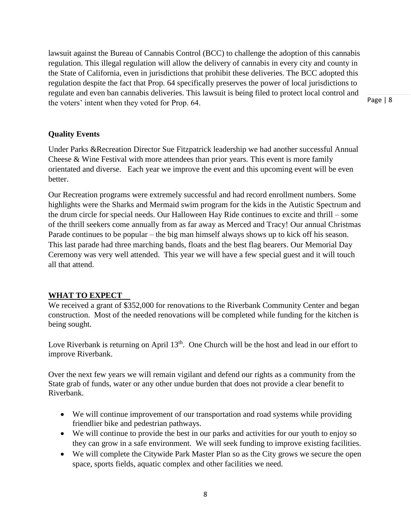lawsuit against the Bureau of Cannabis Control (BCC) to challenge the adoption of this cannabis regulation. This illegal regulation will allow the delivery of cannabis in every city and county in the State of California, even in jurisdictions that prohibit these deliveries. The BCC adopted this regulation despite the fact that Prop. 64 specifically preserves the power of local jurisdictions to regulate and even ban cannabis deliveries. This lawsuit is being filed to protect local control and the voters' intent when they voted for Prop. 64.

Page | 8

## **Quality Events**

Under Parks &Recreation Director Sue Fitzpatrick leadership we had another successful Annual Cheese & Wine Festival with more attendees than prior years. This event is more family orientated and diverse. Each year we improve the event and this upcoming event will be even better.

Our Recreation programs were extremely successful and had record enrollment numbers. Some highlights were the Sharks and Mermaid swim program for the kids in the Autistic Spectrum and the drum circle for special needs. Our Halloween Hay Ride continues to excite and thrill – some of the thrill seekers come annually from as far away as Merced and Tracy! Our annual Christmas Parade continues to be popular – the big man himself always shows up to kick off his season. This last parade had three marching bands, floats and the best flag bearers. Our Memorial Day Ceremony was very well attended. This year we will have a few special guest and it will touch all that attend.

# **WHAT TO EXPECT**

We received a grant of \$352,000 for renovations to the Riverbank Community Center and began construction. Most of the needed renovations will be completed while funding for the kitchen is being sought.

Love Riverbank is returning on April 13<sup>th</sup>. One Church will be the host and lead in our effort to improve Riverbank.

Over the next few years we will remain vigilant and defend our rights as a community from the State grab of funds, water or any other undue burden that does not provide a clear benefit to Riverbank.

- We will continue improvement of our transportation and road systems while providing friendlier bike and pedestrian pathways.
- We will continue to provide the best in our parks and activities for our youth to enjoy so they can grow in a safe environment. We will seek funding to improve existing facilities.
- We will complete the Citywide Park Master Plan so as the City grows we secure the open space, sports fields, aquatic complex and other facilities we need.